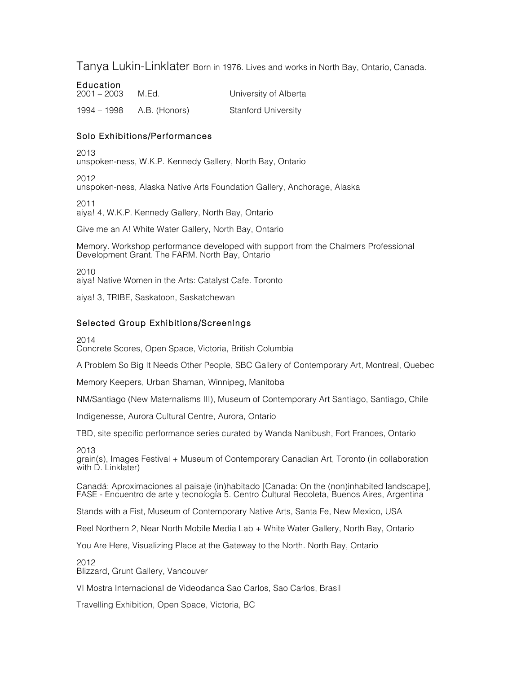# Tanya Lukin-Linklater Born in 1976. Lives and works in North Bay, Ontario, Canada.

**Education**<br>2001 – 2003 M.Ed. **2003** University of Alberta 1994 – 1998 A.B. (Honors) Stanford University

## Solo Exhibitions/Performances

2013 unspoken-ness, W.K.P. Kennedy Gallery, North Bay, Ontario

2012 unspoken-ness, Alaska Native Arts Foundation Gallery, Anchorage, Alaska

2011 aiya! 4, W.K.P. Kennedy Gallery, North Bay, Ontario

Give me an A! White Water Gallery, North Bay, Ontario

Memory. Workshop performance developed with support from the Chalmers Professional Development Grant. The FARM. North Bay, Ontario

2010 aiya! Native Women in the Arts: Catalyst Cafe. Toronto

aiya! 3, TRIBE, Saskatoon, Saskatchewan

## Selected Group Exhibitions/Screenings

2014

Concrete Scores, Open Space, Victoria, British Columbia

A Problem So Big It Needs Other People, SBC Gallery of Contemporary Art, Montreal, Quebec

Memory Keepers, Urban Shaman, Winnipeg, Manitoba

NM/Santiago (New Maternalisms III), Museum of Contemporary Art Santiago, Santiago, Chile

Indigenesse, Aurora Cultural Centre, Aurora, Ontario

TBD, site specific performance series curated by Wanda Nanibush, Fort Frances, Ontario

2013

grain(s), Images Festival + Museum of Contemporary Canadian Art, Toronto (in collaboration with D. Linklater)

Canadá: Aproximaciones al paisaje (in)habitado [Canada: On the (non)inhabited landscape], FASE - Encuentro de arte y tecnología 5. Centro Cultural Recoleta, Buenos Aires, Argentina

Stands with a Fist, Museum of Contemporary Native Arts, Santa Fe, New Mexico, USA

Reel Northern 2, Near North Mobile Media Lab + White Water Gallery, North Bay, Ontario

You Are Here, Visualizing Place at the Gateway to the North. North Bay, Ontario

2012 Blizzard, Grunt Gallery, Vancouver

VI Mostra Internacional de Videodanca Sao Carlos, Sao Carlos, Brasil

Travelling Exhibition, Open Space, Victoria, BC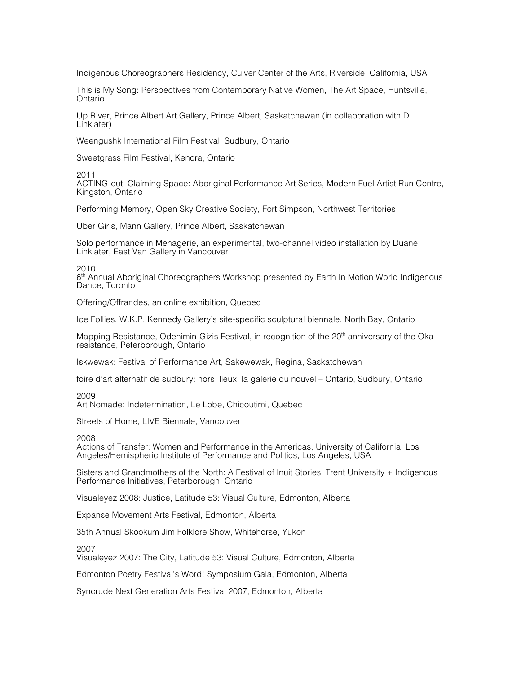Indigenous Choreographers Residency, Culver Center of the Arts, Riverside, California, USA

This is My Song: Perspectives from Contemporary Native Women, The Art Space, Huntsville, Ontario

Up River, Prince Albert Art Gallery, Prince Albert, Saskatchewan (in collaboration with D. Linklater)

Weengushk International Film Festival, Sudbury, Ontario

Sweetgrass Film Festival, Kenora, Ontario

2011

ACTING-out, Claiming Space: Aboriginal Performance Art Series, Modern Fuel Artist Run Centre, Kingston, Ontario

Performing Memory, Open Sky Creative Society, Fort Simpson, Northwest Territories

Uber Girls, Mann Gallery, Prince Albert, Saskatchewan

Solo performance in Menagerie, an experimental, two-channel video installation by Duane Linklater, East Van Gallery in Vancouver

2010

 $6<sup>th</sup>$  Annual Aboriginal Choreographers Workshop presented by Earth In Motion World Indigenous Dance, Toronto

Offering/Offrandes, an online exhibition, Quebec

Ice Follies, W.K.P. Kennedy Gallery's site-specific sculptural biennale, North Bay, Ontario

Mapping Resistance, Odehimin-Gizis Festival, in recognition of the 20<sup>th</sup> anniversary of the Oka resistance, Peterborough, Ontario

Iskwewak: Festival of Performance Art, Sakewewak, Regina, Saskatchewan

foire d'art alternatif de sudbury: hors lieux, la galerie du nouvel – Ontario, Sudbury, Ontario

2009

Art Nomade: Indetermination, Le Lobe, Chicoutimi, Quebec

Streets of Home, LIVE Biennale, Vancouver

2008

Actions of Transfer: Women and Performance in the Americas, University of California, Los Angeles/Hemispheric Institute of Performance and Politics, Los Angeles, USA

Sisters and Grandmothers of the North: A Festival of Inuit Stories, Trent University + Indigenous Performance Initiatives, Peterborough, Ontario

Visualeyez 2008: Justice, Latitude 53: Visual Culture, Edmonton, Alberta

Expanse Movement Arts Festival, Edmonton, Alberta

35th Annual Skookum Jim Folklore Show, Whitehorse, Yukon

2007

Visualeyez 2007: The City, Latitude 53: Visual Culture, Edmonton, Alberta

Edmonton Poetry Festival's Word! Symposium Gala, Edmonton, Alberta

Syncrude Next Generation Arts Festival 2007, Edmonton, Alberta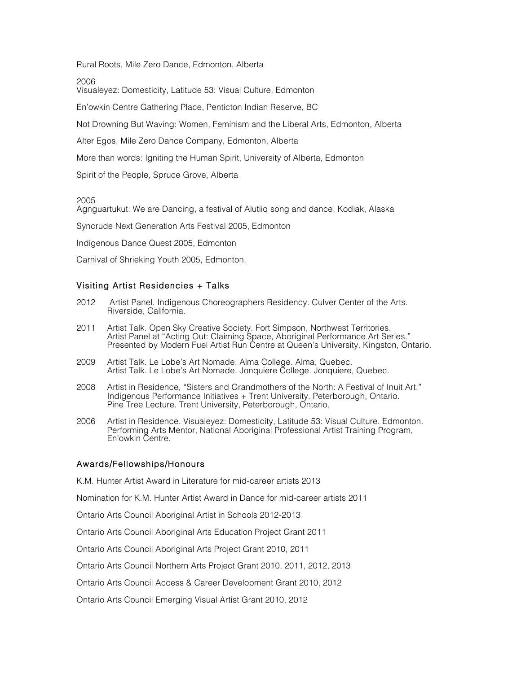Rural Roots, Mile Zero Dance, Edmonton, Alberta

2006

Visualeyez: Domesticity, Latitude 53: Visual Culture, Edmonton

En'owkin Centre Gathering Place, Penticton Indian Reserve, BC

Not Drowning But Waving: Women, Feminism and the Liberal Arts, Edmonton, Alberta

Alter Egos, Mile Zero Dance Company, Edmonton, Alberta

More than words: Igniting the Human Spirit, University of Alberta, Edmonton

Spirit of the People, Spruce Grove, Alberta

2005

Agnguartukut: We are Dancing, a festival of Alutiiq song and dance, Kodiak, Alaska

Syncrude Next Generation Arts Festival 2005, Edmonton

Indigenous Dance Quest 2005, Edmonton

Carnival of Shrieking Youth 2005, Edmonton.

### Visiting Artist Residencies + Talks

- 2012 Artist Panel. Indigenous Choreographers Residency. Culver Center of the Arts. Riverside, California.
- 2011 Artist Talk. Open Sky Creative Society. Fort Simpson, Northwest Territories. Artist Panel at "Acting Out: Claiming Space, Aboriginal Performance Art Series." Presented by Modern Fuel Artist Run Centre at Queen's University. Kingston, Ontario.
- 2009 Artist Talk. Le Lobe's Art Nomade. Alma College. Alma, Quebec. Artist Talk. Le Lobe's Art Nomade. Jonquiere College. Jonquiere, Quebec.
- 2008 Artist in Residence, "Sisters and Grandmothers of the North: A Festival of Inuit Art." Indigenous Performance Initiatives + Trent University. Peterborough, Ontario. Pine Tree Lecture. Trent University, Peterborough, Ontario.
- 2006 Artist in Residence. Visualeyez: Domesticity, Latitude 53: Visual Culture. Edmonton. Performing Arts Mentor, National Aboriginal Professional Artist Training Program, En'owkin Centre.

### Awards/Fellowships/Honours

K.M. Hunter Artist Award in Literature for mid-career artists 2013

Nomination for K.M. Hunter Artist Award in Dance for mid-career artists 2011

Ontario Arts Council Aboriginal Artist in Schools 2012-2013

Ontario Arts Council Aboriginal Arts Education Project Grant 2011

Ontario Arts Council Aboriginal Arts Project Grant 2010, 2011

Ontario Arts Council Northern Arts Project Grant 2010, 2011, 2012, 2013

Ontario Arts Council Access & Career Development Grant 2010, 2012

Ontario Arts Council Emerging Visual Artist Grant 2010, 2012